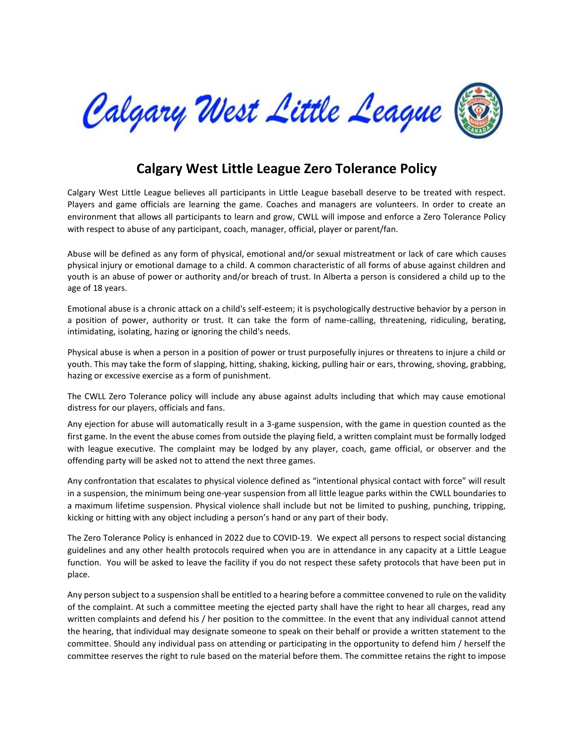

## **Calgary West Little League Zero Tolerance Policy**

Calgary West Little League believes all participants in Little League baseball deserve to be treated with respect. Players and game officials are learning the game. Coaches and managers are volunteers. In order to create an environment that allows all participants to learn and grow, CWLL will impose and enforce a Zero Tolerance Policy with respect to abuse of any participant, coach, manager, official, player or parent/fan.

Abuse will be defined as any form of physical, emotional and/or sexual mistreatment or lack of care which causes physical injury or emotional damage to a child. A common characteristic of all forms of abuse against children and youth is an abuse of power or authority and/or breach of trust. In Alberta a person is considered a child up to the age of 18 years.

Emotional abuse is a chronic attack on a child's self-esteem; it is psychologically destructive behavior by a person in a position of power, authority or trust. It can take the form of name-calling, threatening, ridiculing, berating, intimidating, isolating, hazing or ignoring the child's needs.

Physical abuse is when a person in a position of power or trust purposefully injures or threatens to injure a child or youth. This may take the form of slapping, hitting, shaking, kicking, pulling hair or ears, throwing, shoving, grabbing, hazing or excessive exercise as a form of punishment.

The CWLL Zero Tolerance policy will include any abuse against adults including that which may cause emotional distress for our players, officials and fans.

Any ejection for abuse will automatically result in a 3-game suspension, with the game in question counted as the first game. In the event the abuse comes from outside the playing field, a written complaint must be formally lodged with league executive. The complaint may be lodged by any player, coach, game official, or observer and the offending party will be asked not to attend the next three games.

Any confrontation that escalates to physical violence defined as "intentional physical contact with force" will result in a suspension, the minimum being one-year suspension from all little league parks within the CWLL boundaries to a maximum lifetime suspension. Physical violence shall include but not be limited to pushing, punching, tripping, kicking or hitting with any object including a person's hand or any part of their body.

The Zero Tolerance Policy is enhanced in 2022 due to COVID-19. We expect all persons to respect social distancing guidelines and any other health protocols required when you are in attendance in any capacity at a Little League function. You will be asked to leave the facility if you do not respect these safety protocols that have been put in place.

Any person subject to a suspension shall be entitled to a hearing before a committee convened to rule on the validity of the complaint. At such a committee meeting the ejected party shall have the right to hear all charges, read any written complaints and defend his / her position to the committee. In the event that any individual cannot attend the hearing, that individual may designate someone to speak on their behalf or provide a written statement to the committee. Should any individual pass on attending or participating in the opportunity to defend him / herself the committee reserves the right to rule based on the material before them. The committee retains the right to impose